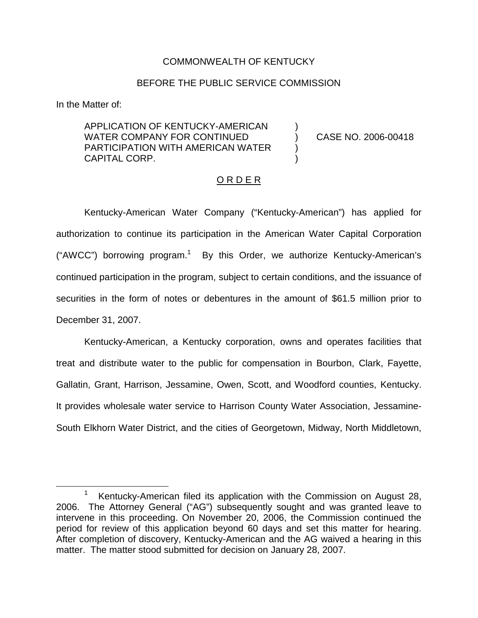## COMMONWEALTH OF KENTUCKY

## BEFORE THE PUBLIC SERVICE COMMISSION

)

) )

In the Matter of:

APPLICATION OF KENTUCKY-AMERICAN WATER COMPANY FOR CONTINUED PARTICIPATION WITH AMERICAN WATER CAPITAL CORP.

) CASE NO. 2006-00418

## O R D E R

Kentucky-American Water Company ("Kentucky-American") has applied for authorization to continue its participation in the American Water Capital Corporation ("AWCC") borrowing program.<sup>1</sup> By this Order, we authorize Kentucky-American's continued participation in the program, subject to certain conditions, and the issuance of securities in the form of notes or debentures in the amount of \$61.5 million prior to December 31, 2007.

Kentucky-American, a Kentucky corporation, owns and operates facilities that treat and distribute water to the public for compensation in Bourbon, Clark, Fayette, Gallatin, Grant, Harrison, Jessamine, Owen, Scott, and Woodford counties, Kentucky. It provides wholesale water service to Harrison County Water Association, Jessamine-South Elkhorn Water District, and the cities of Georgetown, Midway, North Middletown,

<sup>1</sup> Kentucky-American filed its application with the Commission on August 28, 2006. The Attorney General ("AG") subsequently sought and was granted leave to intervene in this proceeding. On November 20, 2006, the Commission continued the period for review of this application beyond 60 days and set this matter for hearing. After completion of discovery, Kentucky-American and the AG waived a hearing in this matter. The matter stood submitted for decision on January 28, 2007.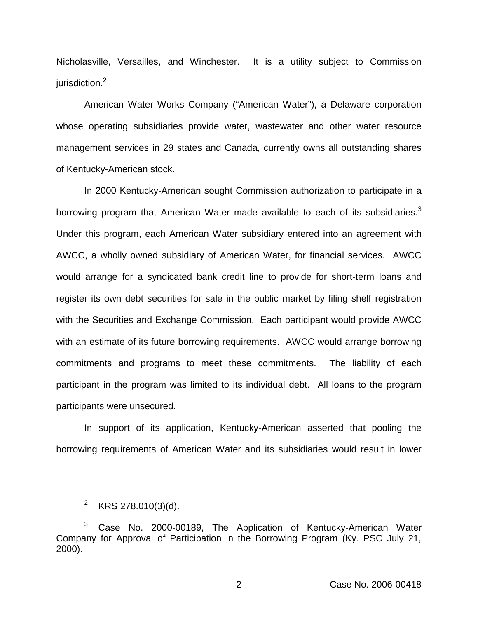Nicholasville, Versailles, and Winchester. It is a utility subject to Commission jurisdiction.<sup>2</sup>

American Water Works Company ("American Water"), a Delaware corporation whose operating subsidiaries provide water, wastewater and other water resource management services in 29 states and Canada, currently owns all outstanding shares of Kentucky-American stock.

In 2000 Kentucky-American sought Commission authorization to participate in a borrowing program that American Water made available to each of its subsidiaries.<sup>3</sup> Under this program, each American Water subsidiary entered into an agreement with AWCC, a wholly owned subsidiary of American Water, for financial services. AWCC would arrange for a syndicated bank credit line to provide for short-term loans and register its own debt securities for sale in the public market by filing shelf registration with the Securities and Exchange Commission. Each participant would provide AWCC with an estimate of its future borrowing requirements. AWCC would arrange borrowing commitments and programs to meet these commitments. The liability of each participant in the program was limited to its individual debt. All loans to the program participants were unsecured.

In support of its application, Kentucky-American asserted that pooling the borrowing requirements of American Water and its subsidiaries would result in lower

<sup>&</sup>lt;sup>2</sup> KRS 278.010(3)(d).

 $3$  Case No. 2000-00189, The Application of Kentucky-American Water Company for Approval of Participation in the Borrowing Program (Ky. PSC July 21, 2000).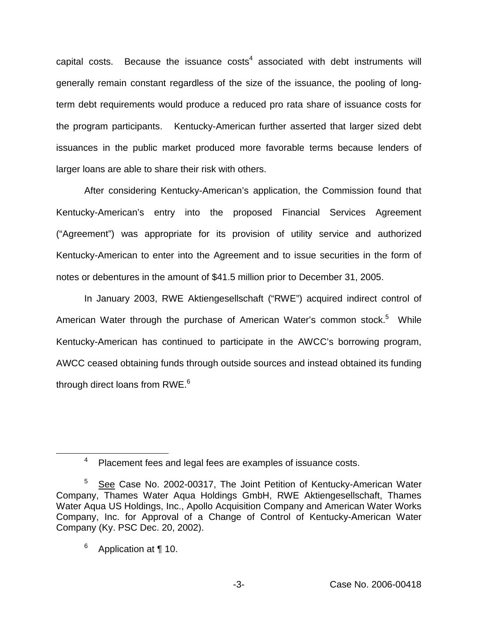capital costs. Because the issuance  $cost<sup>4</sup>$  associated with debt instruments will generally remain constant regardless of the size of the issuance, the pooling of longterm debt requirements would produce a reduced pro rata share of issuance costs for the program participants. Kentucky-American further asserted that larger sized debt issuances in the public market produced more favorable terms because lenders of larger loans are able to share their risk with others.

After considering Kentucky-American's application, the Commission found that Kentucky-American's entry into the proposed Financial Services Agreement ("Agreement") was appropriate for its provision of utility service and authorized Kentucky-American to enter into the Agreement and to issue securities in the form of notes or debentures in the amount of \$41.5 million prior to December 31, 2005.

In January 2003, RWE Aktiengesellschaft ("RWE") acquired indirect control of American Water through the purchase of American Water's common stock.<sup>5</sup> While Kentucky-American has continued to participate in the AWCC's borrowing program, AWCC ceased obtaining funds through outside sources and instead obtained its funding through direct loans from RWE.<sup>6</sup>

<sup>4</sup> Placement fees and legal fees are examples of issuance costs.

<sup>&</sup>lt;sup>5</sup> See Case No. 2002-00317, The Joint Petition of Kentucky-American Water Company, Thames Water Aqua Holdings GmbH, RWE Aktiengesellschaft, Thames Water Aqua US Holdings, Inc., Apollo Acquisition Company and American Water Works Company, Inc. for Approval of a Change of Control of Kentucky-American Water Company (Ky. PSC Dec. 20, 2002).

 $6$  Application at ¶ 10.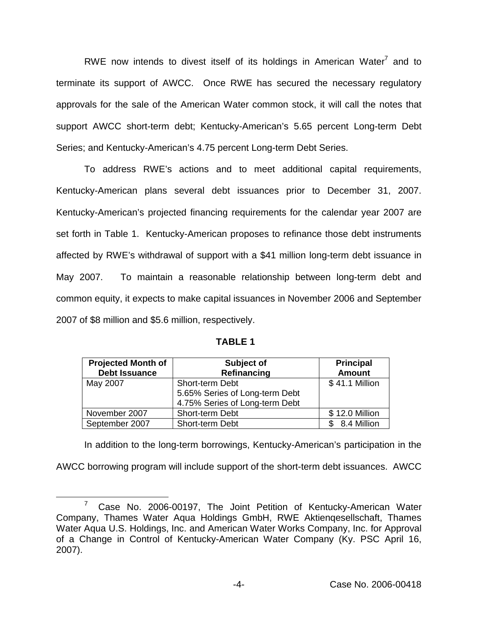RWE now intends to divest itself of its holdings in American Water $<sup>7</sup>$  and to</sup> terminate its support of AWCC. Once RWE has secured the necessary regulatory approvals for the sale of the American Water common stock, it will call the notes that support AWCC short-term debt; Kentucky-American's 5.65 percent Long-term Debt Series; and Kentucky-American's 4.75 percent Long-term Debt Series.

To address RWE's actions and to meet additional capital requirements, Kentucky-American plans several debt issuances prior to December 31, 2007. Kentucky-American's projected financing requirements for the calendar year 2007 are set forth in Table 1. Kentucky-American proposes to refinance those debt instruments affected by RWE's withdrawal of support with a \$41 million long-term debt issuance in May 2007. To maintain a reasonable relationship between long-term debt and common equity, it expects to make capital issuances in November 2006 and September 2007 of \$8 million and \$5.6 million, respectively.

| P.<br>ш |
|---------|
|---------|

| <b>Projected Month of</b><br><b>Debt Issuance</b> | Subject of<br>Refinancing                                                           | <b>Principal</b><br><b>Amount</b> |
|---------------------------------------------------|-------------------------------------------------------------------------------------|-----------------------------------|
| May 2007                                          | Short-term Debt<br>5.65% Series of Long-term Debt<br>4.75% Series of Long-term Debt | \$41.1 Million                    |
| November 2007                                     | Short-term Debt                                                                     | \$12.0 Million                    |
| September 2007                                    | Short-term Debt                                                                     | 8.4 Million                       |

In addition to the long-term borrowings, Kentucky-American's participation in the AWCC borrowing program will include support of the short-term debt issuances. AWCC

<sup>&</sup>lt;sup>7</sup> Case No. 2006-00197, The Joint Petition of Kentucky-American Water Company, Thames Water Aqua Holdings GmbH, RWE Aktienqesellschaft, Thames Water Aqua U.S. Holdings, Inc. and American Water Works Company, Inc. for Approval of a Change in Control of Kentucky-American Water Company (Ky. PSC April 16, 2007).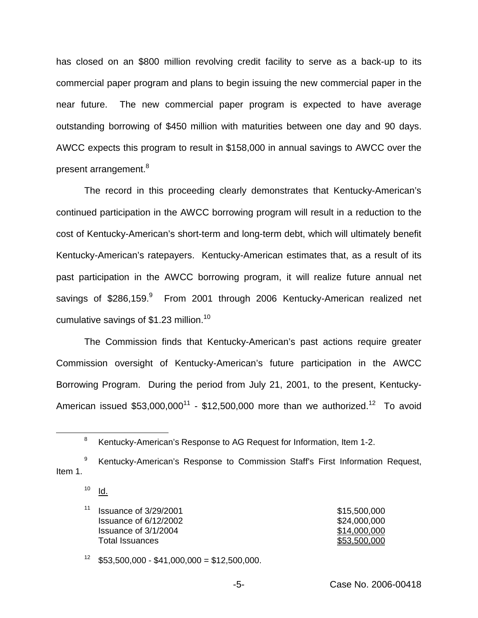has closed on an \$800 million revolving credit facility to serve as a back-up to its commercial paper program and plans to begin issuing the new commercial paper in the near future. The new commercial paper program is expected to have average outstanding borrowing of \$450 million with maturities between one day and 90 days. AWCC expects this program to result in \$158,000 in annual savings to AWCC over the present arrangement.<sup>8</sup>

The record in this proceeding clearly demonstrates that Kentucky-American's continued participation in the AWCC borrowing program will result in a reduction to the cost of Kentucky-American's short-term and long-term debt, which will ultimately benefit Kentucky-American's ratepayers. Kentucky-American estimates that, as a result of its past participation in the AWCC borrowing program, it will realize future annual net savings of \$286,159.<sup>9</sup> From 2001 through 2006 Kentucky-American realized net cumulative savings of \$1.23 million.<sup>10</sup>

The Commission finds that Kentucky-American's past actions require greater Commission oversight of Kentucky-American's future participation in the AWCC Borrowing Program. During the period from July 21, 2001, to the present, Kentucky-American issued  $$53,000,000^{11}$  - \$12,500,000 more than we authorized.<sup>12</sup> To avoid

- <sup>9</sup> Kentucky-American's Response to Commission Staff's First Information Request, Item 1.
	- $10$  Id.

<sup>11</sup> Issuance of 3/29/2001  $$15,500,000$ **Issuance of 6/12/2002** \$24,000,000 **Issuance of 3/1/2004**  $$14,000,000$ Total Issuances \$53,500,000

 $12$  \$53,500,000 - \$41,000,000 = \$12,500,000.

<sup>&</sup>lt;sup>8</sup> Kentucky-American's Response to AG Request for Information, Item 1-2.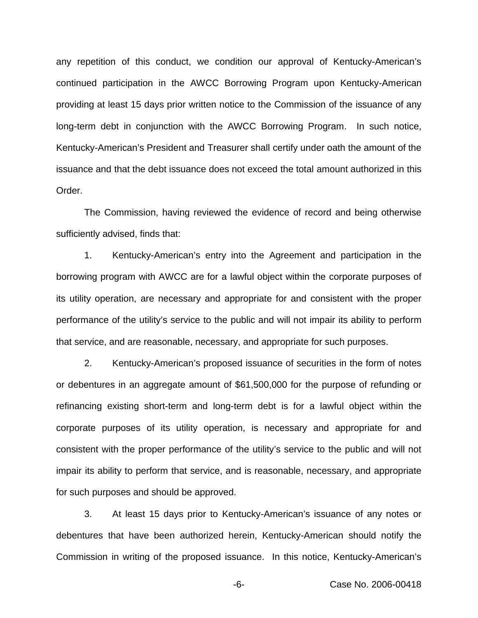any repetition of this conduct, we condition our approval of Kentucky-American's continued participation in the AWCC Borrowing Program upon Kentucky-American providing at least 15 days prior written notice to the Commission of the issuance of any long-term debt in conjunction with the AWCC Borrowing Program. In such notice, Kentucky-American's President and Treasurer shall certify under oath the amount of the issuance and that the debt issuance does not exceed the total amount authorized in this Order.

The Commission, having reviewed the evidence of record and being otherwise sufficiently advised, finds that:

1. Kentucky-American's entry into the Agreement and participation in the borrowing program with AWCC are for a lawful object within the corporate purposes of its utility operation, are necessary and appropriate for and consistent with the proper performance of the utility's service to the public and will not impair its ability to perform that service, and are reasonable, necessary, and appropriate for such purposes.

2. Kentucky-American's proposed issuance of securities in the form of notes or debentures in an aggregate amount of \$61,500,000 for the purpose of refunding or refinancing existing short-term and long-term debt is for a lawful object within the corporate purposes of its utility operation, is necessary and appropriate for and consistent with the proper performance of the utility's service to the public and will not impair its ability to perform that service, and is reasonable, necessary, and appropriate for such purposes and should be approved.

3. At least 15 days prior to Kentucky-American's issuance of any notes or debentures that have been authorized herein, Kentucky-American should notify the Commission in writing of the proposed issuance. In this notice, Kentucky-American's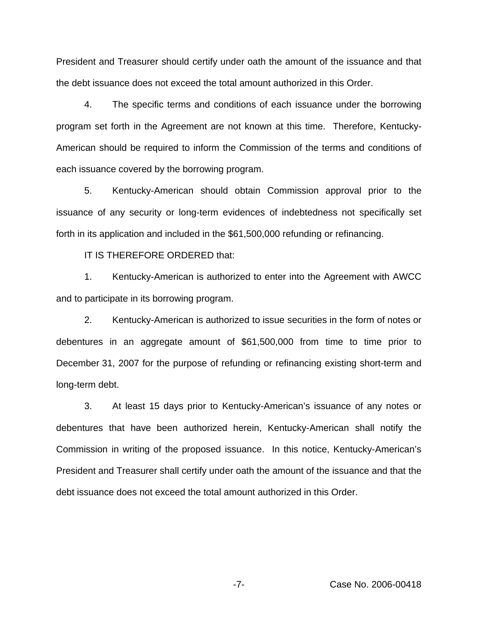President and Treasurer should certify under oath the amount of the issuance and that the debt issuance does not exceed the total amount authorized in this Order.

4. The specific terms and conditions of each issuance under the borrowing program set forth in the Agreement are not known at this time. Therefore, Kentucky-American should be required to inform the Commission of the terms and conditions of each issuance covered by the borrowing program.

5. Kentucky-American should obtain Commission approval prior to the issuance of any security or long-term evidences of indebtedness not specifically set forth in its application and included in the \$61,500,000 refunding or refinancing.

IT IS THEREFORE ORDERED that:

1. Kentucky-American is authorized to enter into the Agreement with AWCC and to participate in its borrowing program.

2. Kentucky-American is authorized to issue securities in the form of notes or debentures in an aggregate amount of \$61,500,000 from time to time prior to December 31, 2007 for the purpose of refunding or refinancing existing short-term and long-term debt.

3. At least 15 days prior to Kentucky-American's issuance of any notes or debentures that have been authorized herein, Kentucky-American shall notify the Commission in writing of the proposed issuance. In this notice, Kentucky-American's President and Treasurer shall certify under oath the amount of the issuance and that the debt issuance does not exceed the total amount authorized in this Order.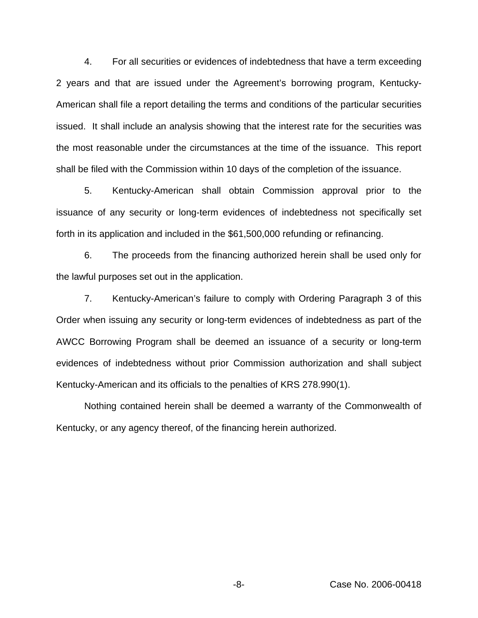4. For all securities or evidences of indebtedness that have a term exceeding 2 years and that are issued under the Agreement's borrowing program, Kentucky-American shall file a report detailing the terms and conditions of the particular securities issued. It shall include an analysis showing that the interest rate for the securities was the most reasonable under the circumstances at the time of the issuance. This report shall be filed with the Commission within 10 days of the completion of the issuance.

5. Kentucky-American shall obtain Commission approval prior to the issuance of any security or long-term evidences of indebtedness not specifically set forth in its application and included in the \$61,500,000 refunding or refinancing.

6. The proceeds from the financing authorized herein shall be used only for the lawful purposes set out in the application.

7. Kentucky-American's failure to comply with Ordering Paragraph 3 of this Order when issuing any security or long-term evidences of indebtedness as part of the AWCC Borrowing Program shall be deemed an issuance of a security or long-term evidences of indebtedness without prior Commission authorization and shall subject Kentucky-American and its officials to the penalties of KRS 278.990(1).

Nothing contained herein shall be deemed a warranty of the Commonwealth of Kentucky, or any agency thereof, of the financing herein authorized.